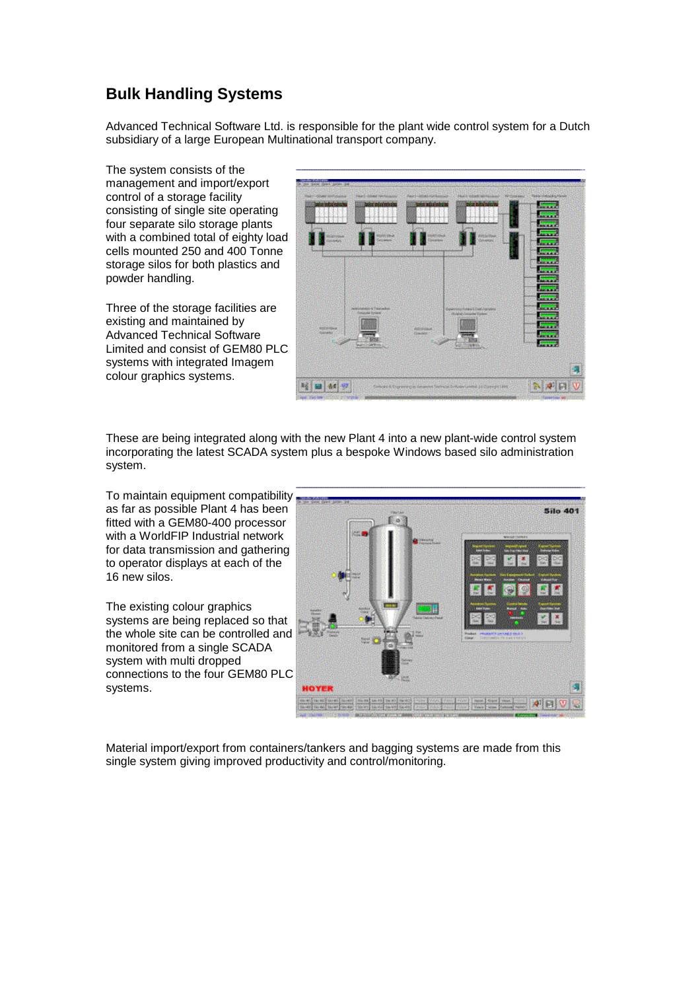## **Bulk Handling Systems**

Advanced Technical Software Ltd. is responsible for the plant wide control system for a Dutch subsidiary of a large European Multinational transport company.

The system consists of the management and import/export control of a storage facility consisting of single site operating four separate silo storage plants with a combined total of eighty load cells mounted 250 and 400 Tonne storage silos for both plastics and powder handling.

Three of the storage facilities are existing and maintained by Advanced Technical Software Limited and consist of GEM80 PLC systems with integrated Imagem colour graphics systems.

| On your slaved stated "below - pair |                                 |                                                                      |                                   |    |                                              |
|-------------------------------------|---------------------------------|----------------------------------------------------------------------|-----------------------------------|----|----------------------------------------------|
| <b>Harriother Solicitor</b>         | Perf-blyci (Philadel            | <b>Parish Address Publications</b>                                   | Phone which have a 1999 from some |    | <b>References</b> Heavy                      |
| sto administrat                     | <b>Azierprinten</b>             | <b>STATISTICS</b>                                                    | <b>TAXABLE</b>                    |    | فترقيب<br><b>Contract</b><br><b>Contract</b> |
| <b>US POINT</b><br><b>SHOP</b>      | <b>ASSISTAN</b><br><b>CANCE</b> | <b>Dallah</b><br>California                                          | <b>Califord</b><br><b>Support</b> |    | $\overline{\phantom{a}}$<br>$\sim$           |
| <u> PASSARD PR</u>                  |                                 |                                                                      |                                   |    | m.                                           |
|                                     | Similadas (Tamaha)              |                                                                      | distanting funnit Link January    | -- | <b>Service</b>                               |
| <b>REDUCED AND IN</b><br>Contactor  | data in base                    | <b>ABSELLA</b><br><b>Bakalon</b>                                     | سمعا فنحت وتبلغا                  |    | $\overline{\phantom{a}}$<br>يبتينا           |
|                                     | Wallen J. Gardens               |                                                                      | 2010<br><b>The Commission Co.</b> |    | <b>Service</b>                               |
|                                     |                                 |                                                                      |                                   |    | 9                                            |
| 1402<br>wи                          |                                 | Direct A Digital in Adapted Service Scholar Limite (discovered limit |                                   |    |                                              |

These are being integrated along with the new Plant 4 into a new plant-wide control system incorporating the latest SCADA system plus a bespoke Windows based silo administration system.

To maintain equipment compatibility as far as possible Plant 4 has been fitted with a GEM80-400 processor with a WorldFIP Industrial network for data transmission and gathering to operator displays at each of the 16 new silos.

The existing colour graphics systems are being replaced so that the whole site can be controlled and monitored from a single SCADA system with multi dropped connections to the four GEM80 PLC systems.



Material import/export from containers/tankers and bagging systems are made from this single system giving improved productivity and control/monitoring.